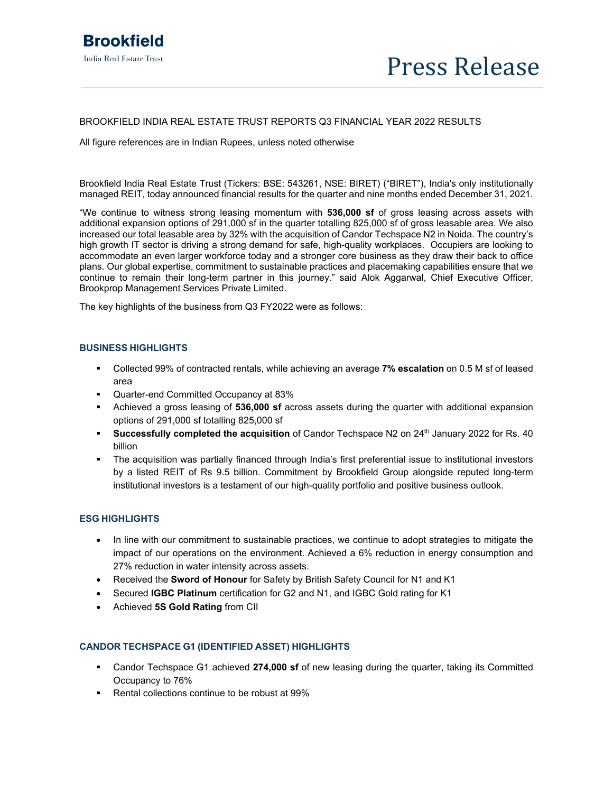### BROOKFIELD INDIA REAL ESTATE TRUST REPORTS Q3 FINANCIAL YEAR 2022 RESULTS

All figure references are in Indian Rupees, unless noted otherwise

Brookfield India Real Estate Trust (Tickers: BSE: 543261, NSE: BIRET) ("BIRET"), India's only institutionally managed REIT, today announced financial results for the quarter and nine months ended December 31, 2021.

"We continue to witness strong leasing momentum with **536,000 sf** of gross leasing across assets with additional expansion options of 291,000 sf in the quarter totalling 825,000 sf of gross leasable area. We also increased our total leasable area by 32% with the acquisition of Candor Techspace N2 in Noida. The country's high growth IT sector is driving a strong demand for safe, high-quality workplaces. Occupiers are looking to accommodate an even larger workforce today and a stronger core business as they draw their back to office plans. Our global expertise, commitment to sustainable practices and placemaking capabilities ensure that we continue to remain their long-term partner in this journey." said Alok Aggarwal, Chief Executive Officer, Brookprop Management Services Private Limited.

The key highlights of the business from Q3 FY2022 were as follows:

# **BUSINESS HIGHLIGHTS**

- Collected 99% of contracted rentals, while achieving an average **7% escalation** on 0.5 M sf of leased area
- Quarter-end Committed Occupancy at 83%
- Achieved a gross leasing of **536,000 sf** across assets during the quarter with additional expansion options of 291,000 sf totalling 825,000 sf
- **Successfully completed the acquisition** of Candor Techspace N2 on 24<sup>th</sup> January 2022 for Rs. 40 billion
- The acquisition was partially financed through India's first preferential issue to institutional investors by a listed REIT of Rs 9.5 billion. Commitment by Brookfield Group alongside reputed long-term institutional investors is a testament of our high-quality portfolio and positive business outlook.

# **ESG HIGHLIGHTS**

- In line with our commitment to sustainable practices, we continue to adopt strategies to mitigate the impact of our operations on the environment. Achieved a 6% reduction in energy consumption and 27% reduction in water intensity across assets.
- Received the **Sword of Honour** for Safety by British Safety Council for N1 and K1
- Secured **IGBC Platinum** certification for G2 and N1, and IGBC Gold rating for K1
- Achieved **5S Gold Rating** from CII

# **CANDOR TECHSPACE G1 (IDENTIFIED ASSET) HIGHLIGHTS**

- Candor Techspace G1 achieved **274,000 sf** of new leasing during the quarter, taking its Committed Occupancy to 76%
- Rental collections continue to be robust at 99%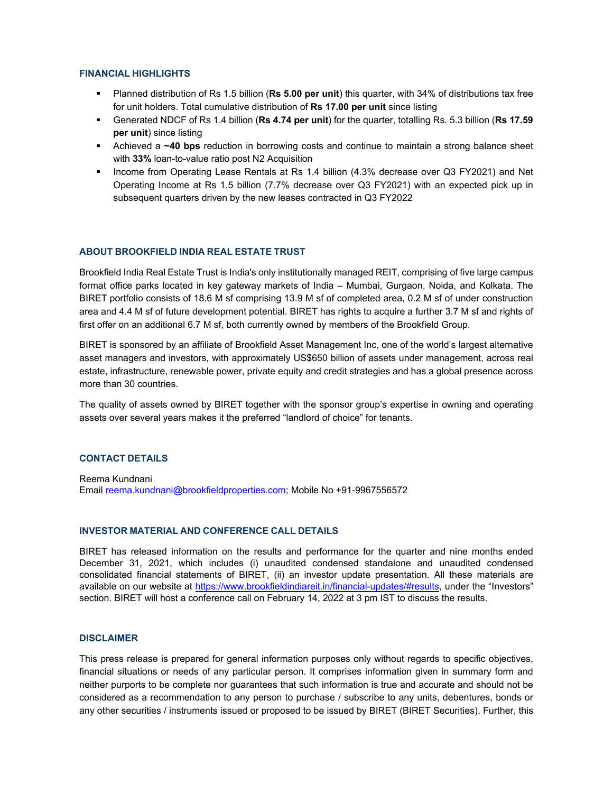### **FINANCIAL HIGHLIGHTS**

- Planned distribution of Rs 1.5 billion (**Rs 5.00 per unit**) this quarter, with 34% of distributions tax free for unit holders. Total cumulative distribution of **Rs 17.00 per unit** since listing
- Generated NDCF of Rs 1.4 billion (**Rs 4.74 per unit**) for the quarter, totalling Rs. 5.3 billion (**Rs 17.59 per unit**) since listing
- Achieved a **~40 bps** reduction in borrowing costs and continue to maintain a strong balance sheet with **33%** loan-to-value ratio post N2 Acquisition
- Income from Operating Lease Rentals at Rs 1.4 billion (4.3% decrease over Q3 FY2021) and Net Operating Income at Rs 1.5 billion (7.7% decrease over Q3 FY2021) with an expected pick up in subsequent quarters driven by the new leases contracted in Q3 FY2022

# **ABOUT BROOKFIELD INDIA REAL ESTATE TRUST**

Brookfield India Real Estate Trust is India's only institutionally managed REIT, comprising of five large campus format office parks located in key gateway markets of India – Mumbai, Gurgaon, Noida, and Kolkata. The BIRET portfolio consists of 18.6 M sf comprising 13.9 M sf of completed area, 0.2 M sf of under construction area and 4.4 M sf of future development potential. BIRET has rights to acquire a further 3.7 M sf and rights of first offer on an additional 6.7 M sf, both currently owned by members of the Brookfield Group.

BIRET is sponsored by an affiliate of Brookfield Asset Management Inc, one of the world's largest alternative asset managers and investors, with approximately US\$650 billion of assets under management, across real estate, infrastructure, renewable power, private equity and credit strategies and has a global presence across more than 30 countries.

The quality of assets owned by BIRET together with the sponsor group's expertise in owning and operating assets over several years makes it the preferred "landlord of choice" for tenants.

### **CONTACT DETAILS**

Reema Kundnani Email reema.kundnani@brookfieldproperties.com; Mobile No +91-9967556572

#### **INVESTOR MATERIAL AND CONFERENCE CALL DETAILS**

BIRET has released information on the results and performance for the quarter and nine months ended December 31, 2021, which includes (i) unaudited condensed standalone and unaudited condensed consolidated financial statements of BIRET, (ii) an investor update presentation. All these materials are available on our website at https://www.brookfieldindiareit.in/financial-updates/#results, under the "Investors" section. BIRET will host a conference call on February 14, 2022 at 3 pm IST to discuss the results.

### **DISCLAIMER**

This press release is prepared for general information purposes only without regards to specific objectives, financial situations or needs of any particular person. It comprises information given in summary form and neither purports to be complete nor guarantees that such information is true and accurate and should not be considered as a recommendation to any person to purchase / subscribe to any units, debentures, bonds or any other securities / instruments issued or proposed to be issued by BIRET (BIRET Securities). Further, this